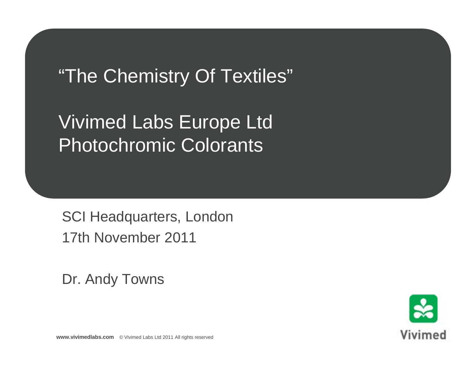"The Chemistry Of Textiles"

Vivimed Labs Europe Ltd Photochromic Colorants

SCI Headquarters, London 17th November 2011

Dr. Andy Towns

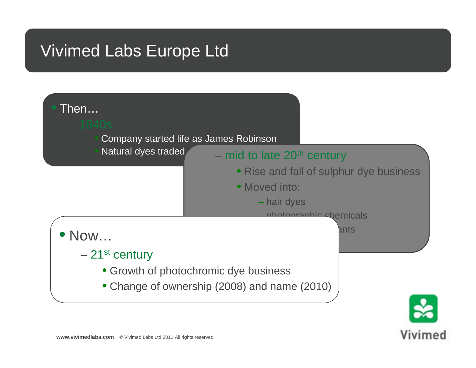## Vivimed Labs Europe Ltd

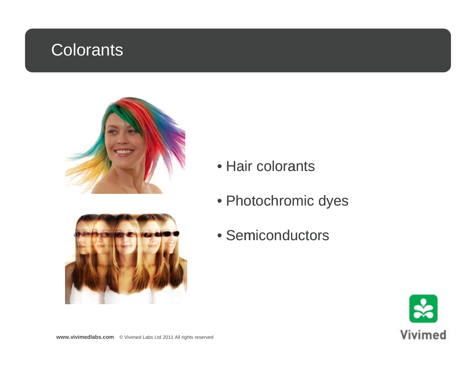# Colorants





- Hair colorants
- $\bullet$  Photochromic dyes
- Semiconductors

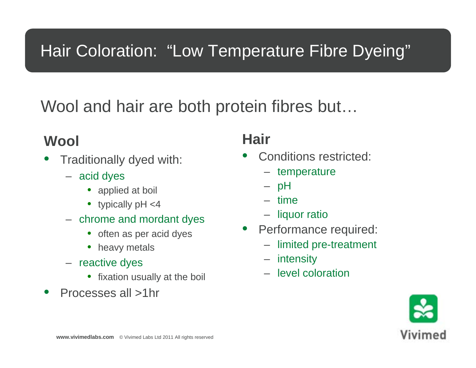# Hair Coloration: "Low Temperature Fibre Dyeing"

## Wool and hair are both protein fibres but...

#### **Wool**

- •**•** Traditionally dyed with:
	- acid dyes
		- applied at boil
		- typically pH <4  $-$  time
	- chrome and mordant dyes
		- often as per acid dyes
		- heavy metals
	- reactive dyes
		- fixation usually at the boil
- •• Processes all >1hr

### **Hair**

- • Conditions restricted:
	- temperature
	- pH
	- –
	- liquor ratio
- Performance required:
	- limited pre-treatment
	- intensity
	- level coloration

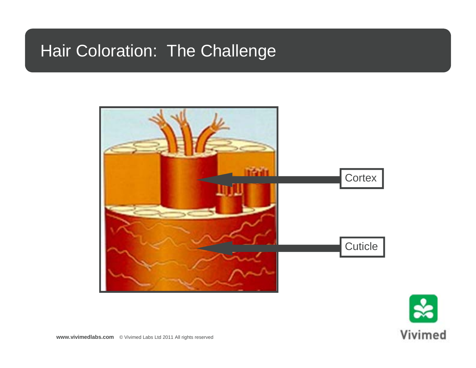## Hair Coloration: The Challenge



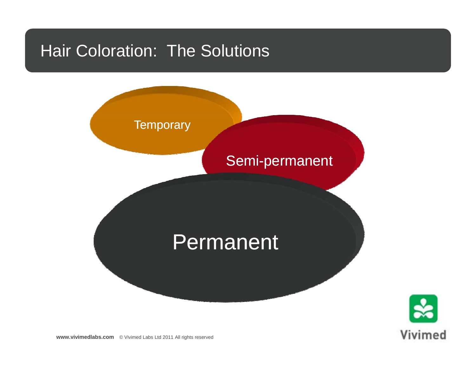## Hair Coloration: The Solutions



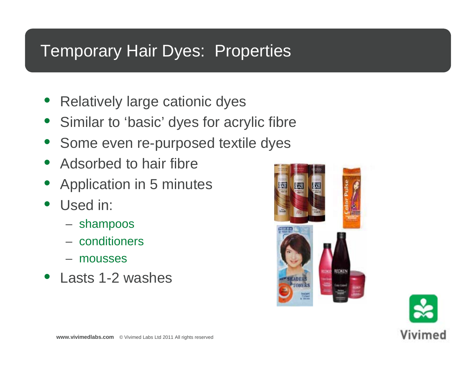### Temporary Hair Dyes: Properties

- Relatively large cationic dyes
- Similar to 'basic' dyes for acrylic fibre
- Some even re-purposed textile dyes
- Adsorbed to hair fibre
- Application in 5 minutes
- Used in:
	- shampoos
	- conditioners
	- mousses
- Lasts 1-2 washes



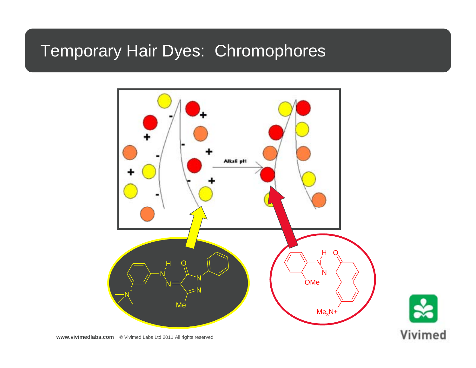## **Temporary Hair Dyes: Chromophores**

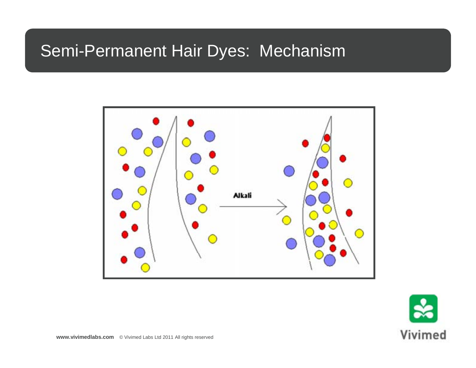## **Semi-Permanent Hair Dyes: Mechanism**



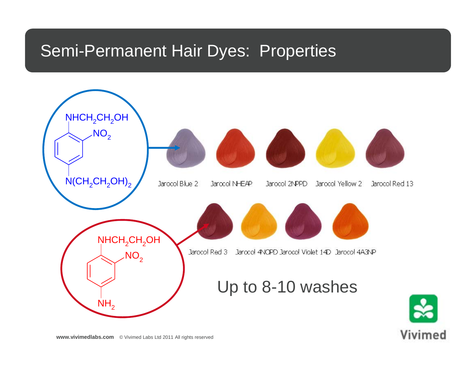### Semi-Permanent Hair Dyes: Properties

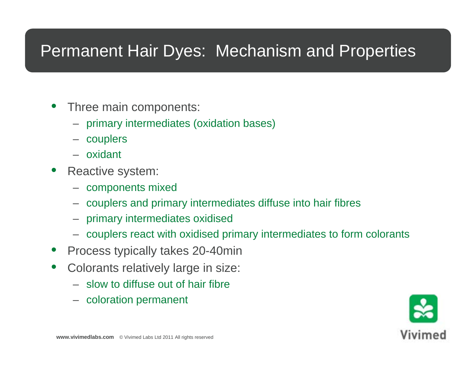## Permanent Hair Dyes: Mechanism and Properties

- • Three main components:
	- primary intermediates (oxidation bases)
	- couplers
	- oxidant
- • Reactive system:
	- components mixed
	- couplers and primary intermediates diffuse into hair fibres
	- primary intermediates oxidised
	- couplers react with oxidised primary intermediates to form colorants
- •• Process typically takes 20-40min
- • Colorants relatively large in size:
	- slow to diffuse out of hair fibre
	- coloration permanent

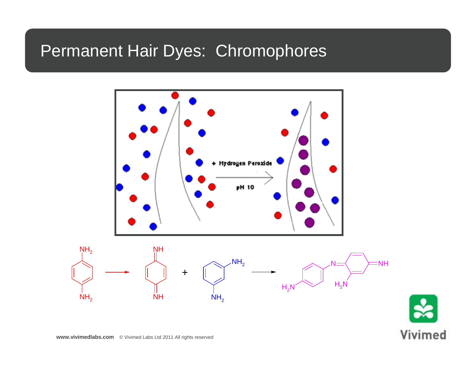## Permanent Hair Dyes: Chromophores

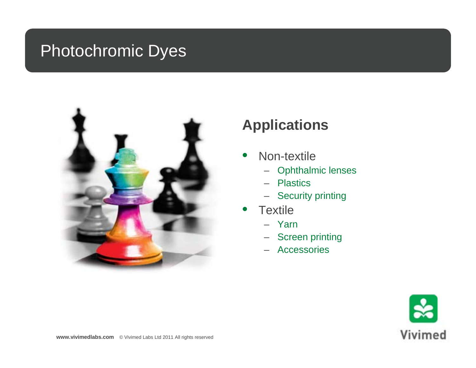## Photochromic Dyes



#### **Applications**

- $\bullet$ • Non-textile
	- Ophthalmic lenses
	- Plastics
	- Security printing
- •• Textile
	- Yarn
	- Screen printing
	- Accessories

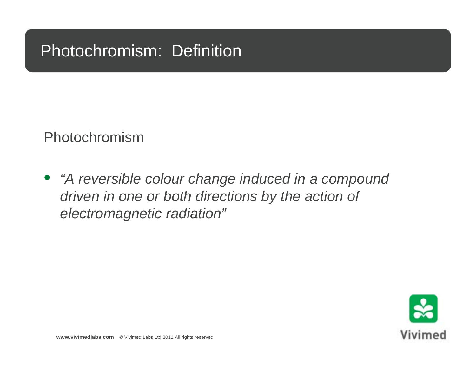## Photochromism: Definition

Photochromism

• *"A reversible colour change induced in a compound driven in one or both directions by the action of electromagnetic radiation "*

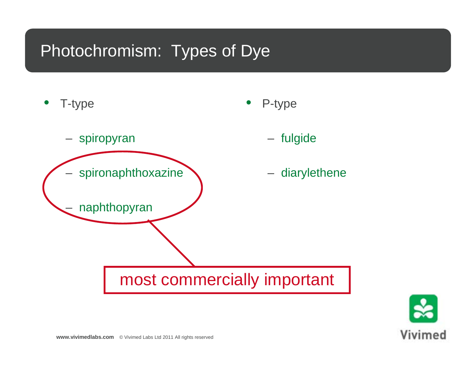## Photochromism: Types of Dye



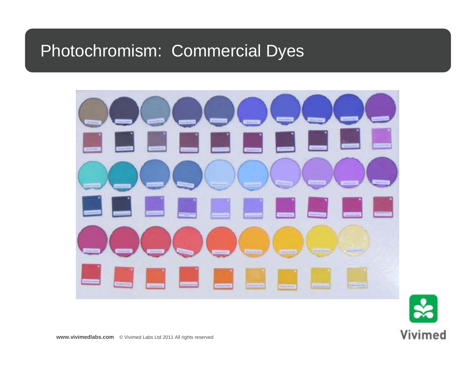## Photochromism: Commercial Dyes



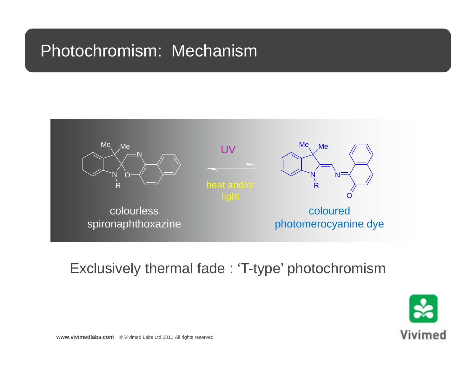## Photochromism: Mechanism



#### Exclusively thermal fade : 'T-type' photochromism

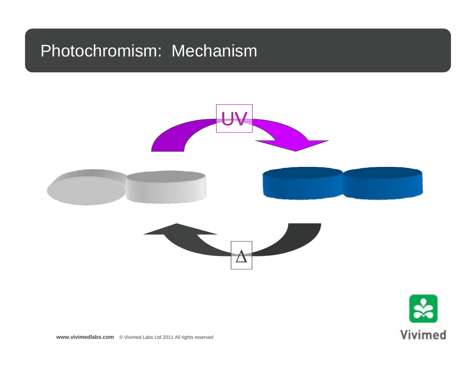### Photochromism: Mechanism





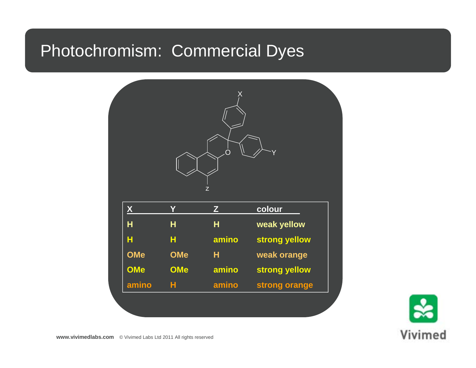## Photochromism: Commercial Dyes



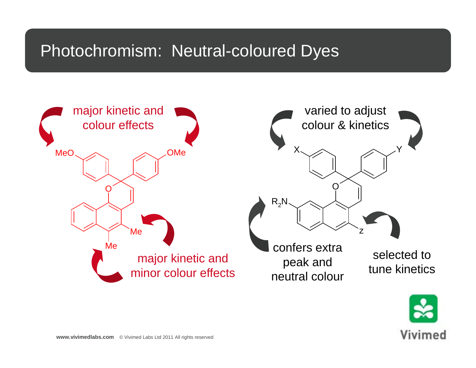## Photochromism: Neutral-coloured Dyes



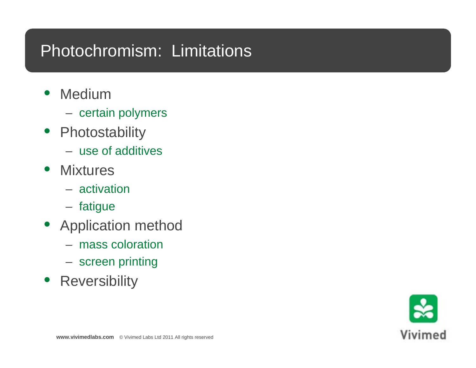## Photochromism: Limitations

- • Medium
	- certain polymers
- Photostability
	- use of additives
- Mixtures
	- activation
	- fatigue
- Application method
	- mass coloration
	- $-$  screen printing
- **•** Reversibility

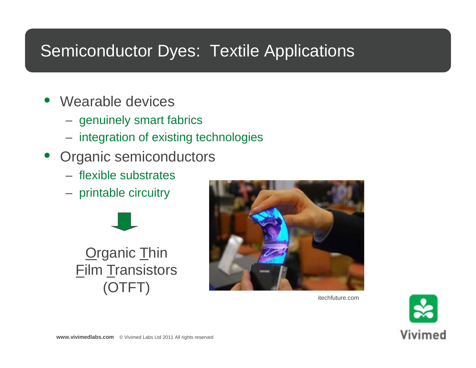## Semiconductor Dyes: Textile Applications

- Wearable devices
	- genuinely smart fabrics
	- integration of existing technologies
- Organic semiconductors
	- flexible substrates
	- printable circuitry





itechfuture.com

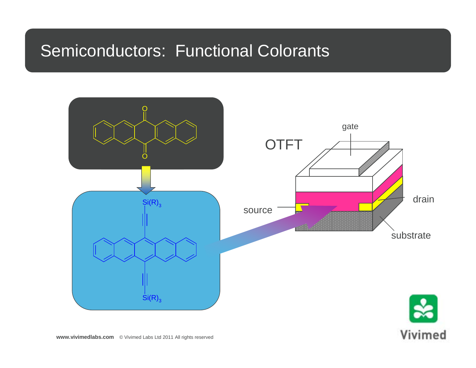### Semiconductors: Functional Colorants